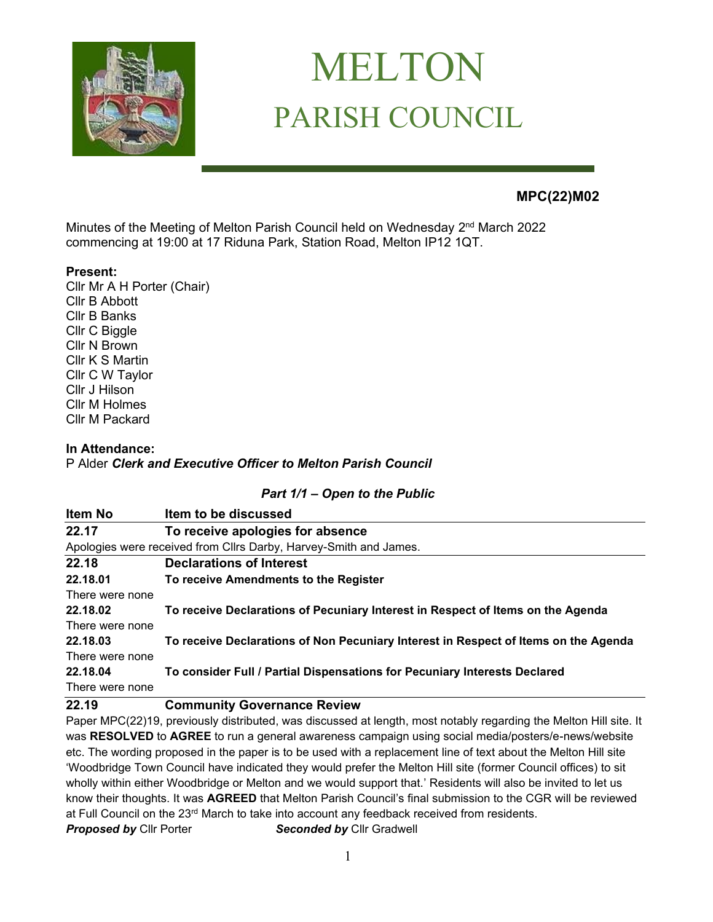

# MELTON PARISH COUNCIL

# **MPC(22)M02**

Minutes of the Meeting of Melton Parish Council held on Wednesday 2<sup>nd</sup> March 2022 commencing at 19:00 at 17 Riduna Park, Station Road, Melton IP12 1QT.

#### **Present:**

Cllr Mr A H Porter (Chair) Cllr B Abbott Cllr B Banks Cllr C Biggle Cllr N Brown Cllr K S Martin Cllr C W Taylor Cllr J Hilson Cllr M Holmes Cllr M Packard

#### **In Attendance:**

P Alder *Clerk and Executive Officer to Melton Parish Council* 

#### *Part 1/1 – Open to the Public*

| Item No                                                           | Item to be discussed                                                                |
|-------------------------------------------------------------------|-------------------------------------------------------------------------------------|
| 22.17                                                             | To receive apologies for absence                                                    |
| Apologies were received from Cllrs Darby, Harvey-Smith and James. |                                                                                     |
| 22.18                                                             | <b>Declarations of Interest</b>                                                     |
| 22.18.01                                                          | To receive Amendments to the Register                                               |
| There were none                                                   |                                                                                     |
| 22.18.02                                                          | To receive Declarations of Pecuniary Interest in Respect of Items on the Agenda     |
| There were none                                                   |                                                                                     |
| 22.18.03                                                          | To receive Declarations of Non Pecuniary Interest in Respect of Items on the Agenda |
| There were none                                                   |                                                                                     |
| 22.18.04                                                          | To consider Full / Partial Dispensations for Pecuniary Interests Declared           |
| There were none                                                   |                                                                                     |
| 22.19                                                             | <b>Community Governance Review</b>                                                  |

Paper MPC(22)19, previously distributed, was discussed at length, most notably regarding the Melton Hill site. It was **RESOLVED** to **AGREE** to run a general awareness campaign using social media/posters/e-news/website etc. The wording proposed in the paper is to be used with a replacement line of text about the Melton Hill site 'Woodbridge Town Council have indicated they would prefer the Melton Hill site (former Council offices) to sit wholly within either Woodbridge or Melton and we would support that.' Residents will also be invited to let us know their thoughts. It was **AGREED** that Melton Parish Council's final submission to the CGR will be reviewed at Full Council on the 23<sup>rd</sup> March to take into account any feedback received from residents. **Proposed by** Cllr Porter **Seconded by** Cllr Gradwell

1